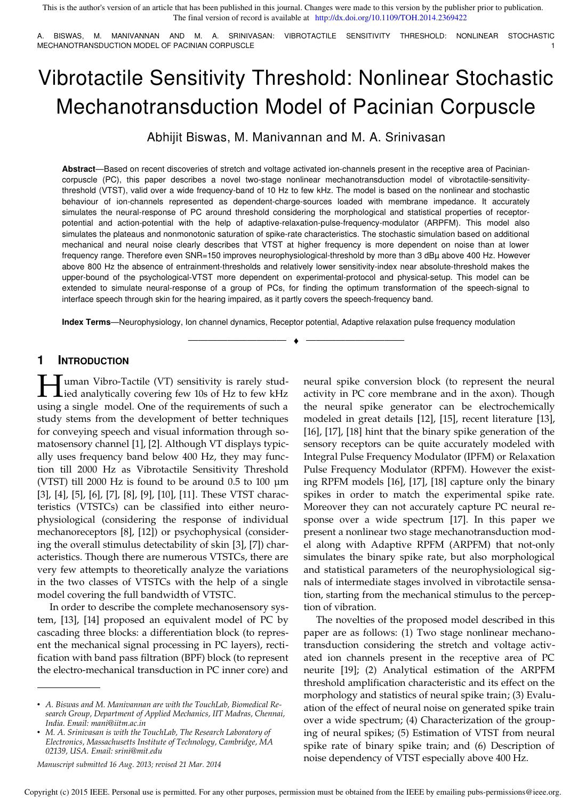A. BISWAS, M. MANIVANNAN AND M. A. SRINIVASAN: VIBROTACTILE SENSITIVITY THRESHOLD: NONLINEAR STOCHASTIC MECHANOTRANSDUCTION MODEL OF PACINIAN CORPUSCLE

# Vibrotactile Sensitivity Threshold: Nonlinear Stochastic Mechanotransduction Model of Pacinian Corpuscle

Abhijit Biswas, M. Manivannan and M. A. Srinivasan

**Abstract**—Based on recent discoveries of stretch and voltage activated ion-channels present in the receptive area of Paciniancorpuscle (PC), this paper describes a novel two-stage nonlinear mechanotransduction model of vibrotactile-sensitivitythreshold (VTST), valid over a wide frequency-band of 10 Hz to few kHz. The model is based on the nonlinear and stochastic behaviour of ion-channels represented as dependent-charge-sources loaded with membrane impedance. It accurately simulates the neural-response of PC around threshold considering the morphological and statistical properties of receptorpotential and action-potential with the help of adaptive-relaxation-pulse-frequency-modulator (ARPFM). This model also simulates the plateaus and nonmonotonic saturation of spike-rate characteristics. The stochastic simulation based on additional mechanical and neural noise clearly describes that VTST at higher frequency is more dependent on noise than at lower frequency range. Therefore even SNR=150 improves neurophysiological-threshold by more than 3 dBµ above 400 Hz. However above 800 Hz the absence of entrainment-thresholds and relatively lower sensitivity-index near absolute-threshold makes the upper-bound of the psychological-VTST more dependent on experimental-protocol and physical-setup. This model can be extended to simulate neural-response of a group of PCs, for finding the optimum transformation of the speech-signal to interface speech through skin for the hearing impaired, as it partly covers the speech-frequency band.

**Index Terms**—Neurophysiology, Ion channel dynamics, Receptor potential, Adaptive relaxation pulse frequency modulation

—————————— ♦ ——————————

# **1 INTRODUCTION**

**H** uman Vibro-Tactile (VT) sensitivity is rarely stud-<br>
led analytically covering few 10s of Hz to few kHz  $\blacktriangle$ ied analytically covering few 10s of Hz to few kHz using a single model. One of the requirements of such a study stems from the development of better techniques for conveying speech and visual information through somatosensory channel [1], [2]. Although VT displays typically uses frequency band below 400 Hz, they may function till 2000 Hz as Vibrotactile Sensitivity Threshold (VTST) till 2000 Hz is found to be around 0.5 to 100 µm [3], [4], [5], [6], [7], [8], [9], [10], [11]. These VTST characteristics (VTSTCs) can be classified into either neurophysiological (considering the response of individual mechanoreceptors [8], [12]) or psychophysical (considering the overall stimulus detectability of skin [3], [7]) characteristics. Though there are numerous VTSTCs, there are very few attempts to theoretically analyze the variations in the two classes of VTSTCs with the help of a single model covering the full bandwidth of VTSTC.

In order to describe the complete mechanosensory system, [13], [14] proposed an equivalent model of PC by cascading three blocks: a differentiation block (to represent the mechanical signal processing in PC layers), rectification with band pass filtration (BPF) block (to represent the electro-mechanical transduction in PC inner core) and

neural spike conversion block (to represent the neural activity in PC core membrane and in the axon). Though the neural spike generator can be electrochemically modeled in great details [12], [15], recent literature [13], [16], [17], [18] hint that the binary spike generation of the sensory receptors can be quite accurately modeled with Integral Pulse Frequency Modulator (IPFM) or Relaxation Pulse Frequency Modulator (RPFM). However the existing RPFM models [16], [17], [18] capture only the binary spikes in order to match the experimental spike rate. Moreover they can not accurately capture PC neural response over a wide spectrum [17]. In this paper we present a nonlinear two stage mechanotransduction model along with Adaptive RPFM (ARPFM) that not-only simulates the binary spike rate, but also morphological and statistical parameters of the neurophysiological signals of intermediate stages involved in vibrotactile sensation, starting from the mechanical stimulus to the perception of vibration.

The novelties of the proposed model described in this paper are as follows: (1) Two stage nonlinear mechanotransduction considering the stretch and voltage activated ion channels present in the receptive area of PC neurite [19]; (2) Analytical estimation of the ARPFM threshold amplification characteristic and its effect on the morphology and statistics of neural spike train; (3) Evaluation of the effect of neural noise on generated spike train over a wide spectrum; (4) Characterization of the grouping of neural spikes; (5) Estimation of VTST from neural spike rate of binary spike train; and (6) Description of noise dependency of VTST especially above 400 Hz.

<sup>•</sup> *A. Biswas and M. Manivannan are with the TouchLab, Biomedical Research Group, Department of Applied Mechanics, IIT Madras, Chennai, India. Email: mani@iitm.ac.in*

<sup>•</sup> *M. A. Srinivasan is with the TouchLab, The Research Laboratory of Electronics, Massachusetts Institute of Technology, Cambridge, MA 02139, USA. Email: srini@mit.edu*

*Manuscript submitted 16 Aug. 2013; revised 21 Mar. 2014*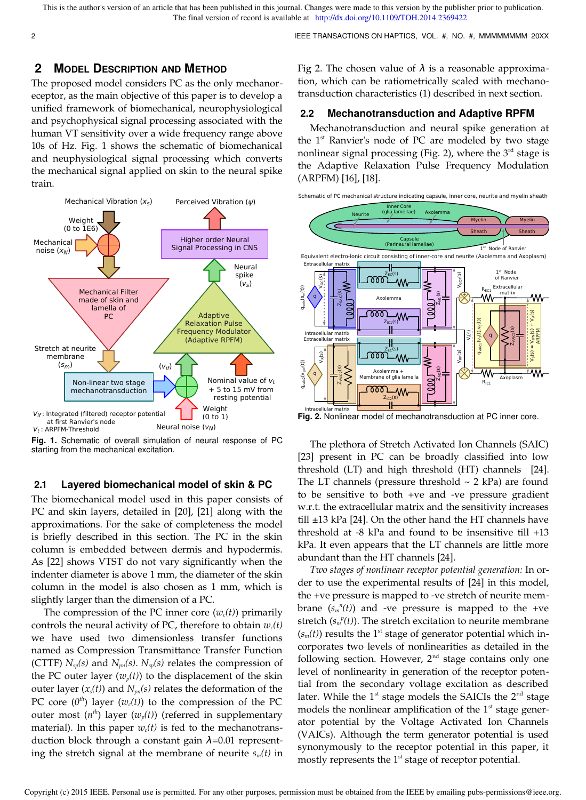2 IEEE TRANSACTIONS ON HAPTICS, VOL. #, NO. #, MMMMMMMM 20XX

## **2 MODEL DESCRIPTION AND METHOD**

The proposed model considers PC as the only mechanoreceptor, as the main objective of this paper is to develop a unified framework of biomechanical, neurophysiological and psychophysical signal processing associated with the human VT sensitivity over a wide frequency range above 10s of Hz. Fig. 1 shows the schematic of biomechanical and neuphysiological signal processing which converts the mechanical signal applied on skin to the neural spike train.



**Fig. 1.** Schematic of overall simulation of neural response of PC starting from the mechanical excitation.

## **2.1 Layered biomechanical model of skin & PC**

The biomechanical model used in this paper consists of PC and skin layers, detailed in [20], [21] along with the approximations. For the sake of completeness the model is briefly described in this section. The PC in the skin column is embedded between dermis and hypodermis. As [22] shows VTST do not vary significantly when the indenter diameter is above 1 mm, the diameter of the skin column in the model is also chosen as 1 mm, which is slightly larger than the dimension of a PC.

The compression of the PC inner core  $(w_c(t))$  primarily controls the neural activity of PC, therefore to obtain  $w_c(t)$ we have used two dimensionless transfer functions named as Compression Transmittance Transfer Function (CTTF)  $N_{sp}(s)$  and  $N_{pn}(s)$ .  $N_{sp}(s)$  relates the compression of the PC outer layer  $(w_p(t))$  to the displacement of the skin outer layer  $(x<sub>s</sub>(t))$  and  $N<sub>pn</sub>(s)$  relates the deformation of the PC core  $(0<sup>th</sup>)$  layer  $(w<sub>c</sub>(t))$  to the compression of the PC outer most  $(n<sup>th</sup>)$  layer  $(w_p(t))$  (referred in supplementary material). In this paper  $w_c(t)$  is fed to the mechanotransduction block through a constant gain  $\lambda$ =0.01 representing the stretch signal at the membrane of neurite *sm(t)* in

Fig 2. The chosen value of  $\lambda$  is a reasonable approximation, which can be ratiometrically scaled with mechanotransduction characteristics (1) described in next section.

### **2.2 Mechanotransduction and Adaptive RPFM**

Mechanotransduction and neural spike generation at the  $1<sup>st</sup>$  Ranvier's node of PC are modeled by two stage nonlinear signal processing (Fig. 2), where the  $3<sup>rd</sup>$  stage is the Adaptive Relaxation Pulse Frequency Modulation (ARPFM) [16], [18].



**Fig. 2.** Nonlinear model of mechanotransduction at PC inner core.

The plethora of Stretch Activated Ion Channels (SAIC) [23] present in PC can be broadly classified into low threshold (LT) and high threshold (HT) channels [24]. The LT channels (pressure threshold  $\sim$  2 kPa) are found to be sensitive to both +ve and -ve pressure gradient w.r.t. the extracellular matrix and the sensitivity increases till  $\pm 13$  kPa [24]. On the other hand the HT channels have threshold at -8 kPa and found to be insensitive till +13 kPa. It even appears that the LT channels are little more abundant than the HT channels [24].

*Two stages of nonlinear receptor potential generation:* In order to use the experimental results of [24] in this model, the +ve pressure is mapped to -ve stretch of neurite membrane  $(s_m^{\ n}(t))$  and -ve pressure is mapped to the +ve stretch ( $s_m^{\ p}(t)$ ). The stretch excitation to neurite membrane  $(s_m(t))$  results the 1<sup>st</sup> stage of generator potential which incorporates two levels of nonlinearities as detailed in the following section. However,  $2<sup>nd</sup>$  stage contains only one level of nonlinearity in generation of the receptor potential from the secondary voltage excitation as described later. While the  $1<sup>st</sup>$  stage models the SAICIs the  $2<sup>nd</sup>$  stage models the nonlinear amplification of the  $1<sup>st</sup>$  stage generator potential by the Voltage Activated Ion Channels (VAICs). Although the term generator potential is used synonymously to the receptor potential in this paper, it mostly represents the  $1<sup>st</sup>$  stage of receptor potential.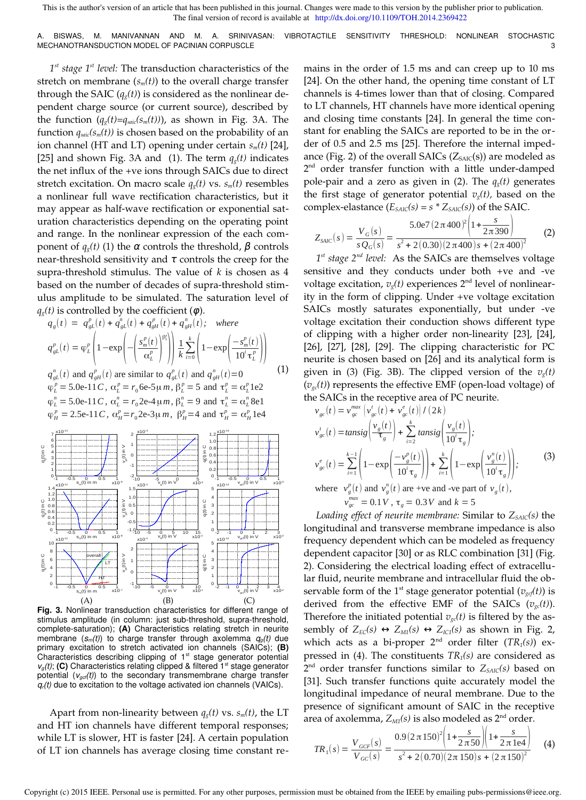A. BISWAS, M. MANIVANNAN AND M. A. SRINIVASAN: VIBROTACTILE SENSITIVITY THRESHOLD: NONLINEAR STOCHASTIC MECHANOTRANSDUCTION MODEL OF PACINIAN CORPUSCLE 3 3

*1 st stage 1st level:* The transduction characteristics of the stretch on membrane  $(s_m(t))$  to the overall charge transfer through the SAIC  $(q_g(t))$  is considered as the nonlinear dependent charge source (or current source), described by the function  $(q_g(t)=q_{\text{safe}}(s_m(t)))$ , as shown in Fig. 3A. The function  $q_{\textit{saic}}(s_m(t))$  is chosen based on the probability of an ion channel (HT and LT) opening under certain *sm(t)* [24], [25] and shown Fig. 3A and (1). The term  $q_g(t)$  indicates the net influx of the +ve ions through SAICs due to direct stretch excitation. On macro scale  $q_g(t)$  vs.  $s_m(t)$  resembles a nonlinear full wave rectification characteristics, but it may appear as half-wave rectification or exponential saturation characteristics depending on the operating point and range. In the nonlinear expression of the each component of  $q<sub>s</sub>(t)$  (1) the α controls the threshold, β controls near-threshold sensitivity and  $\tau$  controls the creep for the supra-threshold stimulus. The value of *k* is chosen as 4 based on the number of decades of supra-threshold stimulus amplitude to be simulated. The saturation level of  $q_g(t)$  is controlled by the coefficient ( $\varphi$ ).

$$
q_g(t) = q_{gL}^p(t) + q_{gL}^n(t) + q_{gH}^p(t) + q_{gH}^n(t); \text{ where}
$$
  
\n
$$
q_{gL}^p(t) = \varphi_L^p \left( 1 - \exp\left( -\left( \frac{S_m^p(t)}{\alpha_L^p} \right)^{\beta_L^p} \right) \right) \frac{1}{k} \sum_{i=0}^k \left( 1 - \exp\left( \frac{-S_m^p(t)}{10^i \tau_L^p} \right) \right)
$$
  
\n
$$
q_{gL}^n(t) \text{ and } q_{gH}^p(t) \text{ are similar to } q_{gL}^p(t) \text{ and } q_{gH}^n(t) = 0
$$
 (1)

 $\varphi_L^p = 5.0$ e-11*C*,  $\alpha_L^p = r_0$ 6e-5μ*m*,  $\beta_L^p = 5$  and  $\tau_L^p = \alpha_L^p$ 1e2  $\varphi_L^n = 5.0$ e-11*C*,  $\alpha_L^n = r_0$ 2e-4  $\mu$ *m*,  $\beta_L^n = 9$  and  $\tau_L^n = \alpha_L^n 8e1$  $\varphi_H^p = 2.5$ e-11*C*,  $\alpha_H^p = r_0 2$ e-3μ*m*,  $\beta_H^p = 4$  and  $\tau_H^p = \alpha_H^p 1$ e4



**Fig. 3.** Nonlinear transduction characteristics for different range of stimulus amplitude (in column: just sub-threshold, supra-threshold, complete-saturation); **(A)** Characteristics relating stretch in neurite membrane  $(s_m(t))$  to charge transfer through axolemma  $q_g(t)$  due primary excitation to stretch activated ion channels (SAICs); **(B)**  Characteristics describing clipping of 1<sup>st</sup> stage generator potential  $v_q(t)$ ; (C) Characteristics relating clipped & filtered  $1<sup>st</sup>$  stage generator potential (*vgcf(t)*) to the secondary transmembrane charge transfer  $q_r(t)$  due to excitation to the voltage activated ion channels (VAICs).

Apart from non-linearity between  $q_g(t)$  vs.  $s_m(t)$ , the LT and HT ion channels have different temporal responses; while LT is slower, HT is faster [24]. A certain population of LT ion channels has average closing time constant remains in the order of 1.5 ms and can creep up to 10 ms [24]. On the other hand, the opening time constant of LT channels is 4-times lower than that of closing. Compared to LT channels, HT channels have more identical opening and closing time constants [24]. In general the time constant for enabling the SAICs are reported to be in the order of 0.5 and 2.5 ms [25]. Therefore the internal impedance (Fig. 2) of the overall SAICs  $(Z_{S AIC}(s))$  are modeled as 2<sup>nd</sup> order transfer function with a little under-damped pole-pair and a zero as given in (2). The  $q_g(t)$  generates the first stage of generator potential  $v_g(t)$ , based on the complex-elastance  $(E_{SALC}(s) = s * Z_{SALC}(s))$  of the SAIC.

$$
Z_{SALC}(s) = \frac{V_G(s)}{sQ_G(s)} = \frac{5.0e7(2\pi 400)^2 \left(1 + \frac{s}{2\pi 390}\right)}{s^2 + 2(0.30)(2\pi 400)s + (2\pi 400)^2}
$$
(2)

*1 st stage 2nd level:* As the SAICs are themselves voltage sensitive and they conducts under both +ve and -ve voltage excitation,  $v_g(t)$  experiences  $2<sup>nd</sup>$  level of nonlinearity in the form of clipping. Under +ve voltage excitation SAICs mostly saturates exponentially, but under -ve voltage excitation their conduction shows different type of clipping with a higher order non-linearity [23], [24], [26], [27], [28], [29]. The clipping characteristic for PC neurite is chosen based on [26] and its analytical form is given in (3) (Fig. 3B). The clipped version of the  $v_g(t)$  $(v_{\mathcal{P}}(t))$  represents the effective EMF (open-load voltage) of the SAICs in the receptive area of PC neurite.

$$
v_{gc}(t) = v_{gc}^{max} \left( v_{gc}'(t) + v_{gc}^{e}(t) \right) / (2k)
$$
  
\n
$$
v_{gc}'(t) = \text{tansig}\left( \frac{v_{g}(t)}{\tau_{g}} \right) + \sum_{i=2}^{k} \text{tansig}\left( \frac{v_{g}(t)}{10^{i} \tau_{g}} \right);
$$
  
\n
$$
v_{gc}^{e}(t) = \sum_{i=1}^{k-1} \left( 1 - \exp\left( \frac{-v_{g}^{p}(t)}{10^{i} \tau_{g}} \right) \right) + \sum_{i=1}^{k} \left( 1 - \exp\left( \frac{v_{g}^{n}(t)}{10^{i} \tau_{g}} \right) \right);
$$
  
\nwhere 
$$
v_{g}^{p}(t)
$$
 and 
$$
v_{g}^{n}(t)
$$
 are +ve and -ve part of 
$$
v_{g}(t)
$$
,  
\n
$$
v_{gc}^{max} = 0.1V, \tau_{g} = 0.3V \text{ and } k = 5
$$

*Loading effect of neurite membrane:* Similar to *ZSAIC(s)* the longitudinal and transverse membrane impedance is also frequency dependent which can be modeled as frequency dependent capacitor [30] or as RLC combination [31] (Fig. 2). Considering the electrical loading effect of extracellular fluid, neurite membrane and intracellular fluid the observable form of the 1<sup>st</sup> stage generator potential ( $v_{\text{gcf}}(t)$ ) is derived from the effective EMF of the SAICs  $(v_{gc}(t))$ . Therefore the initiated potential  $v_{gc}(t)$  is filtered by the assembly of  $Z_{EC}(s) \leftrightarrow Z_{M1}(s) \leftrightarrow Z_{IC1}(s)$  as shown in Fig. 2, which acts as a bi-proper  $2<sup>nd</sup>$  order filter  $(TR<sub>1</sub>(s))$  expressed in (4). The constituents *TR1(s)* are considered as 2 nd order transfer functions similar to *ZSAIC(s)* based on [31]. Such transfer functions quite accurately model the longitudinal impedance of neural membrane. Due to the presence of significant amount of SAIC in the receptive area of axolemma, *ZM1(s)* is also modeled as 2nd order.

$$
TR_1(s) = \frac{V_{GCF}(s)}{V_{GC}(s)} = \frac{0.9(2 \pi 150)^2 \left(1 + \frac{s}{2 \pi 50}\right) \left(1 + \frac{s}{2 \pi 1e4}\right)}{s^2 + 2(0.70)(2 \pi 150)s + (2 \pi 150)^2}
$$
(4)

Copyright (c) 2015 IEEE. Personal use is permitted. For any other purposes, permission must be obtained from the IEEE by emailing pubs-permissions@ieee.org.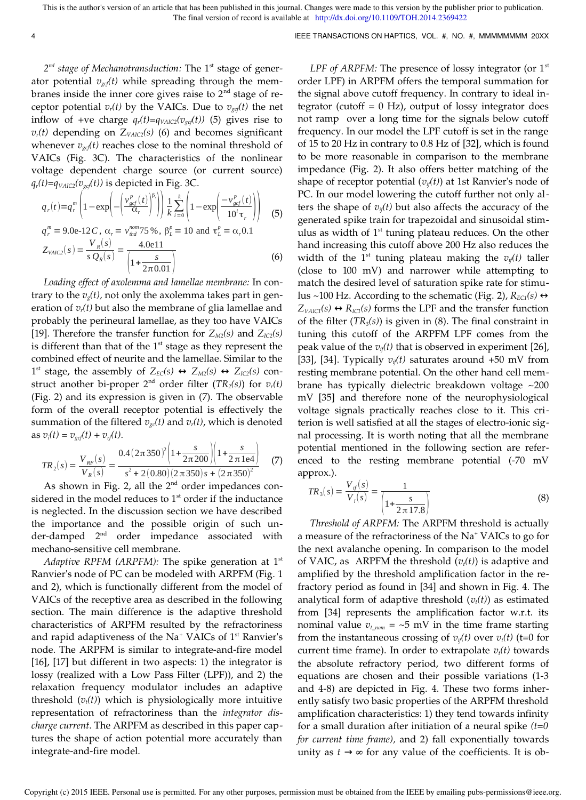2<sup>nd</sup> stage of Mechanotransduction: The 1<sup>st</sup> stage of generator potential  $v_{\text{gc}}(t)$  while spreading through the membranes inside the inner core gives raise to  $2<sup>nd</sup>$  stage of receptor potential  $v_r(t)$  by the VAICs. Due to  $v_{gcf}(t)$  the net inflow of +ve charge  $q_r(t)=q_{\text{VAIC2}}(v_{\text{gcf}}(t))$  (5) gives rise to  $v_r(t)$  depending on  $Z_{VAIC2}(s)$  (6) and becomes significant whenever  $v_{\text{gcf}}(t)$  reaches close to the nominal threshold of VAICs (Fig. 3C). The characteristics of the nonlinear voltage dependent charge source (or current source)  $q_r(t) = q_{\text{VAIC2}}(v_{\text{gcf}}(t))$  is depicted in Fig. 3C.

$$
q_r(t) = q_r^m \left( 1 - \exp\left( -\left( \frac{v_{gcf}^p(t)}{\alpha_r} \right)^{\beta_r} \right) \right) \frac{1}{k} \sum_{i=0}^k \left( 1 - \exp\left( \frac{-v_{gcf}^p(t)}{10^i \tau_r} \right) \right)
$$
  
\n
$$
q_r^m = 9.0e^{-12}C, \ \alpha_r = v_{thd}^{nom} 75\%, \ \beta_L^p = 10 \text{ and } \tau_L^p = \alpha_r 0.1
$$
  
\n
$$
Z_{\text{VACC2}}(s) = \frac{V_R(s)}{s Q_R(s)} = \frac{4.0e^{11}}{\left( 1 + \frac{s}{2\pi 0.01} \right)}
$$
 (6)

*Loading effect of axolemma and lamellae membrane:* In contrary to the  $v<sub>s</sub>(t)$ , not only the axolemma takes part in generation of  $v_r(t)$  but also the membrane of glia lamellae and probably the perineural lamellae, as they too have VAICs [19]. Therefore the transfer function for  $Z_{M2}(s)$  and  $Z_{IC2}(s)$ is different than that of the  $1<sup>st</sup>$  stage as they represent the combined effect of neurite and the lamellae. Similar to the 1<sup>st</sup> stage, the assembly of  $Z_{EC}(s)$  ↔  $Z_{M2}(s)$  ↔  $Z_{IC2}(s)$  construct another bi-proper  $2^{nd}$  order filter  $(TR_2(s))$  for  $v_r(t)$ (Fig. 2) and its expression is given in (7). The observable form of the overall receptor potential is effectively the summation of the filtered  $v_{\rm gc}(t)$  and  $v_{\rm r}(t)$ , which is denoted as  $v_i(t) = v_{\text{gcf}}(t) + v_{\text{rf}}(t)$ .

$$
TR_2(s) = \frac{V_{RF}(s)}{V_R(s)} = \frac{0.4(2\pi 350)^2 \left(1 + \frac{s}{2\pi 200}\right) \left(1 + \frac{s}{2\pi 1e4}\right)}{s^2 + 2(0.80)(2\pi 350)s + (2\pi 350)^2}
$$
(7)

As shown in Fig. 2, all the  $2<sup>nd</sup>$  order impedances considered in the model reduces to  $1<sup>st</sup>$  order if the inductance is neglected. In the discussion section we have described the importance and the possible origin of such under-damped 2<sup>nd</sup> order impedance associated with mechano-sensitive cell membrane.

*Adaptive RPFM (ARPFM):* The spike generation at 1<sup>st</sup> Ranvier's node of PC can be modeled with ARPFM (Fig. 1 and 2), which is functionally different from the model of VAICs of the receptive area as described in the following section. The main difference is the adaptive threshold characteristics of ARPFM resulted by the refractoriness and rapid adaptiveness of the Na<sup>+</sup> VAICs of 1<sup>st</sup> Ranvier's node. The ARPFM is similar to integrate-and-fire model [16], [17] but different in two aspects: 1) the integrator is lossy (realized with a Low Pass Filter (LPF)), and 2) the relaxation frequency modulator includes an adaptive threshold  $(v_t(t))$  which is physiologically more intuitive representation of refractoriness than the *integrator discharge current*. The ARPFM as described in this paper captures the shape of action potential more accurately than integrate-and-fire model.

*LPF of ARPFM:* The presence of lossy integrator (or 1<sup>st</sup>) order LPF) in ARPFM offers the temporal summation for the signal above cutoff frequency. In contrary to ideal integrator (cutoff  $= 0$  Hz), output of lossy integrator does not ramp over a long time for the signals below cutoff frequency. In our model the LPF cutoff is set in the range of 15 to 20 Hz in contrary to 0.8 Hz of [32], which is found to be more reasonable in comparison to the membrane impedance (Fig. 2). It also offers better matching of the shape of receptor potential (*vif(t)*) at 1st Ranvier's node of PC. In our model lowering the cutoff further not only alters the shape of  $v_{if}(t)$  but also affects the accuracy of the generated spike train for trapezoidal and sinusoidal stimulus as width of  $1<sup>st</sup>$  tuning plateau reduces. On the other hand increasing this cutoff above 200 Hz also reduces the width of the 1<sup>st</sup> tuning plateau making the  $v_{i}(t)$  taller (close to 100 mV) and narrower while attempting to match the desired level of saturation spike rate for stimulus ~100 Hz. According to the schematic (Fig. 2), *REC1(s)* ↔  $Z_{\text{VACC}}(s) \leftrightarrow R_{\text{IC1}}(s)$  forms the LPF and the transfer function of the filter (*TR3(s)*) is given in (8). The final constraint in tuning this cutoff of the ARPFM LPF comes from the peak value of the  $v_{i}(t)$  that is observed in experiment [26], [33], [34]. Typically  $v_{i}(t)$  saturates around +50 mV from resting membrane potential. On the other hand cell membrane has typically dielectric breakdown voltage ~200 mV [35] and therefore none of the neurophysiological voltage signals practically reaches close to it. This criterion is well satisfied at all the stages of electro-ionic signal processing. It is worth noting that all the membrane potential mentioned in the following section are referenced to the resting membrane potential (-70 mV approx.).

$$
TR_3(s) = \frac{V_{ij}(s)}{V_i(s)} = \frac{1}{\left(1 + \frac{s}{2\pi 17.8}\right)}
$$
(8)

*Threshold of ARPFM:* The ARPFM threshold is actually a measure of the refractoriness of the Na<sup>+</sup> VAICs to go for the next avalanche opening. In comparison to the model of VAIC, as ARPFM the threshold  $(v_t(t))$  is adaptive and amplified by the threshold amplification factor in the refractory period as found in [34] and shown in Fig. 4. The analytical form of adaptive threshold  $(v_t(t))$  as estimated from [34] represents the amplification factor w.r.t. its nominal value  $v_{t_{\text{nom}}} = -5$  mV in the time frame starting from the instantaneous crossing of  $v_i(t)$  over  $v_i(t)$  (t=0 for current time frame). In order to extrapolate  $v_t(t)$  towards the absolute refractory period, two different forms of equations are chosen and their possible variations (1-3 and 4-8) are depicted in Fig. 4. These two forms inherently satisfy two basic properties of the ARPFM threshold amplification characteristics: 1) they tend towards infinity for a small duration after initiation of a neural spike *(t=0 for current time frame),* and 2) fall exponentially towards unity as  $t \rightarrow \infty$  for any value of the coefficients. It is ob-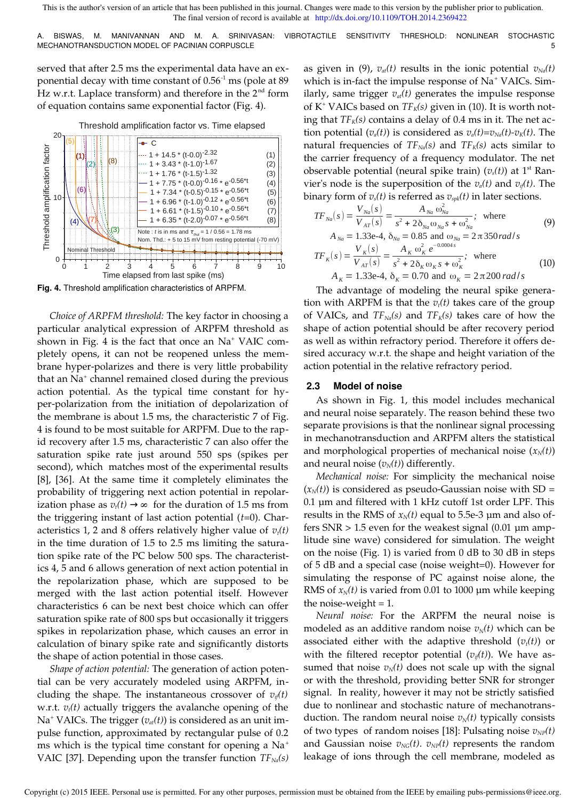A. BISWAS, M. MANIVANNAN AND M. A. SRINIVASAN: VIBROTACTILE SENSITIVITY THRESHOLD: NONLINEAR STOCHASTIC MECHANOTRANSDUCTION MODEL OF PACINIAN CORPUSCLE **AND THE SET OF SALE ASSAULT ASSAULT** STRANGER AND THE STRANGER STRANGER STRANGER STRANGER STRANGER STRANGER STRANGER STRANGER STRANGER STRANGER STRANGER STRANGER STRANGER ST

served that after 2.5 ms the experimental data have an exponential decay with time constant of  $0.56<sup>-1</sup>$  ms (pole at 89 Hz w.r.t. Laplace transform) and therefore in the  $2<sup>nd</sup>$  form of equation contains same exponential factor (Fig. 4).



**Fig. 4.** Threshold amplification characteristics of ARPFM.

*Choice of ARPFM threshold:* The key factor in choosing a particular analytical expression of ARPFM threshold as shown in Fig. 4 is the fact that once an Na<sup>+</sup> VAIC completely opens, it can not be reopened unless the membrane hyper-polarizes and there is very little probability that an Na<sup>+</sup> channel remained closed during the previous action potential. As the typical time constant for hyper-polarization from the initiation of depolarization of the membrane is about 1.5 ms, the characteristic 7 of Fig. 4 is found to be most suitable for ARPFM. Due to the rapid recovery after 1.5 ms, characteristic 7 can also offer the saturation spike rate just around 550 sps (spikes per second), which matches most of the experimental results [8], [36]. At the same time it completely eliminates the probability of triggering next action potential in repolarization phase as  $v_t(t) \rightarrow \infty$  for the duration of 1.5 ms from the triggering instant of last action potential (*t*=0). Characteristics 1, 2 and 8 offers relatively higher value of *vt(t)*  in the time duration of 1.5 to 2.5 ms limiting the saturation spike rate of the PC below 500 sps. The characteristics 4, 5 and 6 allows generation of next action potential in the repolarization phase, which are supposed to be merged with the last action potential itself. However characteristics 6 can be next best choice which can offer saturation spike rate of 800 sps but occasionally it triggers spikes in repolarization phase, which causes an error in calculation of binary spike rate and significantly distorts the shape of action potential in those cases.

*Shape of action potential:* The generation of action potential can be very accurately modeled using ARPFM, including the shape. The instantaneous crossover of  $v_{i}(t)$ w.r.t. *vt(t)* actually triggers the avalanche opening of the Na<sup>+</sup> VAICs. The trigger ( $v_{at}(t)$ ) is considered as an unit impulse function, approximated by rectangular pulse of 0.2 ms which is the typical time constant for opening a  $Na<sup>+</sup>$ VAIC [37]. Depending upon the transfer function *TFNa(s)*  as given in (9),  $v_{at}(t)$  results in the ionic potential  $v_{Na}(t)$ which is in-fact the impulse response of Na<sup>+</sup> VAICs. Similarly, same trigger  $v_{at}(t)$  generates the impulse response of K<sup>+</sup> VAICs based on *TFK(s)* given in (10). It is worth noting that  $TF_K(s)$  contains a delay of 0.4 ms in it. The net action potential  $(v_a(t))$  is considered as  $v_a(t)=v_{Na}(t)-v_K(t)$ . The natural frequencies of  $TF_{Nq}(s)$  and  $TF_{K}(s)$  acts similar to the carrier frequency of a frequency modulator. The net observable potential (neural spike train)  $(v_s(t))$  at 1<sup>st</sup> Ranvier's node is the superposition of the  $v_a(t)$  and  $v_{i}(t)$ . The binary form of  $v_s(t)$  is referred as  $v_{spk}(t)$  in later sections.

$$
TF_{Na}(s) = \frac{V_{Na}(s)}{V_{AT}(s)} = \frac{A_{Na} \omega_{Na}^{2}}{s^{2} + 2\delta_{Na} \omega_{Na} s + \omega_{Na}^{2}}; \text{ where}
$$
\n(9)  
\n
$$
A_{Na} = 1.33e-4, \delta_{Na} = 0.85 \text{ and } \omega_{Na} = 2 \pi 350 \text{ rad/s}
$$
\n
$$
TF_{K}(s) = \frac{V_{K}(s)}{V_{AT}(s)} = \frac{A_{K} \omega_{K}^{2} e^{-0.0004s}}{s^{2} + 2\delta_{K} \omega_{K} s + \omega_{K}^{2}}; \text{ where}
$$
\n
$$
A_{K} = 1.33e-4, \delta_{K} = 0.70 \text{ and } \omega_{K} = 2 \pi 200 \text{ rad/s}
$$
\n(10)

The advantage of modeling the neural spike generation with ARPFM is that the 
$$
v_t(t)
$$
 takes care of the group of VALCs, and  $TF_{Na}(s)$  and  $TF_{K}(s)$  takes care of how the shape of action potential should be after recovery period as well as within refractory period. Therefore it offers desired accuracy w.r.t. the shape and height variation of the action potential in the relative refractory period.

#### **2.3 Model of noise**

As shown in Fig. 1, this model includes mechanical and neural noise separately. The reason behind these two separate provisions is that the nonlinear signal processing in mechanotransduction and ARPFM alters the statistical and morphological properties of mechanical noise  $(x_N(t))$ and neural noise  $(v_N(t))$  differently.

*Mechanical noise:* For simplicity the mechanical noise  $(x_N(t))$  is considered as pseudo-Gaussian noise with SD = 0.1 µm and filtered with 1 kHz cutoff 1st order LPF. This results in the RMS of  $x_N(t)$  equal to 5.5e-3  $\mu$ m and also offers  $SNR > 1.5$  even for the weakest signal  $(0.01 \mu m)$  amplitude sine wave) considered for simulation. The weight on the noise (Fig. 1) is varied from 0 dB to 30 dB in steps of 5 dB and a special case (noise weight=0). However for simulating the response of PC against noise alone, the RMS of  $x_N(t)$  is varied from 0.01 to 1000  $\mu$ m while keeping the noise-weight  $= 1$ .

*Neural noise:* For the ARPFM the neural noise is modeled as an additive random noise  $v_N(t)$  which can be associated either with the adaptive threshold  $(v_t(t))$  or with the filtered receptor potential  $(v_{i}(t))$ . We have assumed that noise  $v_N(t)$  does not scale up with the signal or with the threshold, providing better SNR for stronger signal. In reality, however it may not be strictly satisfied due to nonlinear and stochastic nature of mechanotransduction. The random neural noise  $v_N(t)$  typically consists of two types of random noises [18]: Pulsating noise  $v_{NP}(t)$ and Gaussian noise  $v_{NG}(t)$ .  $v_{NP}(t)$  represents the random leakage of ions through the cell membrane, modeled as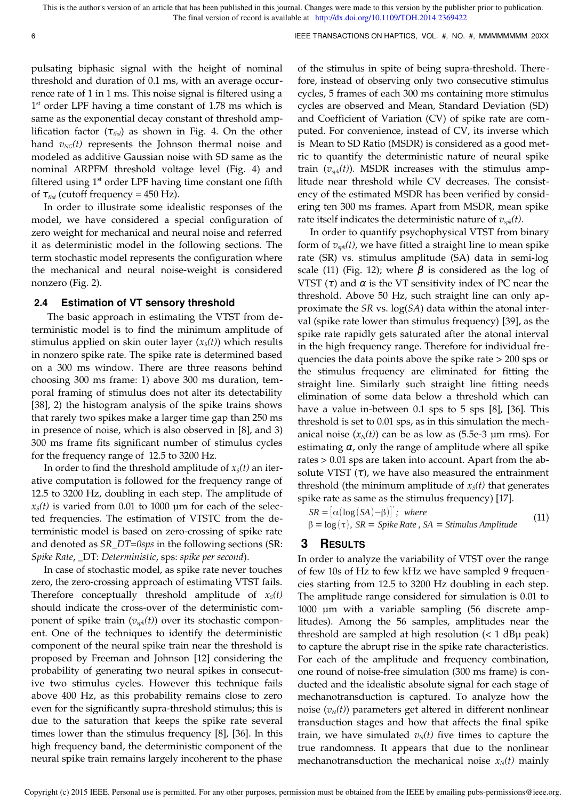pulsating biphasic signal with the height of nominal threshold and duration of 0.1 ms, with an average occurrence rate of 1 in 1 ms. This noise signal is filtered using a 1<sup>st</sup> order LPF having a time constant of 1.78 ms which is same as the exponential decay constant of threshold amplification factor (τ*thd*) as shown in Fig. 4. On the other hand  $v_{NG}(t)$  represents the Johnson thermal noise and modeled as additive Gaussian noise with SD same as the nominal ARPFM threshold voltage level (Fig. 4) and filtered using  $1<sup>st</sup>$  order LPF having time constant one fifth of  $\tau_{thd}$  (cutoff frequency = 450 Hz).

In order to illustrate some idealistic responses of the model, we have considered a special configuration of zero weight for mechanical and neural noise and referred it as deterministic model in the following sections. The term stochastic model represents the configuration where the mechanical and neural noise-weight is considered nonzero (Fig. 2).

#### **2.4 Estimation of VT sensory threshold**

 The basic approach in estimating the VTST from deterministic model is to find the minimum amplitude of stimulus applied on skin outer layer  $(x<sub>s</sub>(t))$  which results in nonzero spike rate. The spike rate is determined based on a 300 ms window. There are three reasons behind choosing 300 ms frame: 1) above 300 ms duration, temporal framing of stimulus does not alter its detectability [38], 2) the histogram analysis of the spike trains shows that rarely two spikes make a larger time gap than 250 ms in presence of noise, which is also observed in [8], and 3) 300 ms frame fits significant number of stimulus cycles for the frequency range of 12.5 to 3200 Hz.

In order to find the threshold amplitude of  $x<sub>S</sub>(t)$  an iterative computation is followed for the frequency range of 12.5 to 3200 Hz, doubling in each step. The amplitude of  $x<sub>S</sub>(t)$  is varied from 0.01 to 1000  $\mu$ m for each of the selected frequencies. The estimation of VTSTC from the deterministic model is based on zero-crossing of spike rate and denoted as *SR\_DT=0sps* in the following sections (SR: *Spike Rate*, \_DT: *Deterministic*, sps: *spike per second*).

In case of stochastic model, as spike rate never touches zero, the zero-crossing approach of estimating VTST fails. Therefore conceptually threshold amplitude of  $x<sub>S</sub>(t)$ should indicate the cross-over of the deterministic component of spike train  $(v_{spk}(t))$  over its stochastic component. One of the techniques to identify the deterministic component of the neural spike train near the threshold is proposed by Freeman and Johnson [12] considering the probability of generating two neural spikes in consecutive two stimulus cycles. However this technique fails above 400 Hz, as this probability remains close to zero even for the significantly supra-threshold stimulus; this is due to the saturation that keeps the spike rate several times lower than the stimulus frequency [8], [36]. In this high frequency band, the deterministic component of the neural spike train remains largely incoherent to the phase

of the stimulus in spite of being supra-threshold. Therefore, instead of observing only two consecutive stimulus cycles, 5 frames of each 300 ms containing more stimulus cycles are observed and Mean, Standard Deviation (SD) and Coefficient of Variation (CV) of spike rate are computed. For convenience, instead of CV, its inverse which is Mean to SD Ratio (MSDR) is considered as a good metric to quantify the deterministic nature of neural spike train (*vspk(t)*). MSDR increases with the stimulus amplitude near threshold while CV decreases. The consistency of the estimated MSDR has been verified by considering ten 300 ms frames. Apart from MSDR, mean spike rate itself indicates the deterministic nature of *vspk(t)*.

In order to quantify psychophysical VTST from binary form of *vspk(t),* we have fitted a straight line to mean spike rate (SR) vs. stimulus amplitude (SA) data in semi-log scale (11) (Fig. 12); where  $\beta$  is considered as the log of VTST  $(τ)$  and  $α$  is the VT sensitivity index of PC near the threshold. Above 50 Hz, such straight line can only approximate the *SR* vs. log(*SA*) data within the atonal interval (spike rate lower than stimulus frequency) [39], as the spike rate rapidly gets saturated after the atonal interval in the high frequency range. Therefore for individual frequencies the data points above the spike rate > 200 sps or the stimulus frequency are eliminated for fitting the straight line. Similarly such straight line fitting needs elimination of some data below a threshold which can have a value in-between 0.1 sps to 5 sps [8], [36]. This threshold is set to 0.01 sps, as in this simulation the mechanical noise  $(x_N(t))$  can be as low as  $(5.5e-3 \mu m \text{ rms})$ . For estimating  $\alpha$ , only the range of amplitude where all spike rates > 0.01 sps are taken into account. Apart from the absolute VTST  $(\tau)$ , we have also measured the entrainment threshold (the minimum amplitude of  $x<sub>S</sub>(t)$  that generates spike rate as same as the stimulus frequency) [17].

 $SR = [\alpha(\log(SA) - \beta)]^*$ ; where β = log (τ)*, SR* = *Spike Rate , SA* = *Stimulus Amplitude* (11)

# **3 RESULTS**

In order to analyze the variability of VTST over the range of few 10s of Hz to few kHz we have sampled 9 frequencies starting from 12.5 to 3200 Hz doubling in each step. The amplitude range considered for simulation is 0.01 to 1000 µm with a variable sampling (56 discrete amplitudes). Among the 56 samples, amplitudes near the threshold are sampled at high resolution  $(< 1$  dB $\mu$  peak) to capture the abrupt rise in the spike rate characteristics. For each of the amplitude and frequency combination, one round of noise-free simulation (300 ms frame) is conducted and the idealistic absolute signal for each stage of mechanotransduction is captured. To analyze how the noise  $(v_N(t))$  parameters get altered in different nonlinear transduction stages and how that affects the final spike train, we have simulated  $v<sub>N</sub>(t)$  five times to capture the true randomness. It appears that due to the nonlinear mechanotransduction the mechanical noise  $x_N(t)$  mainly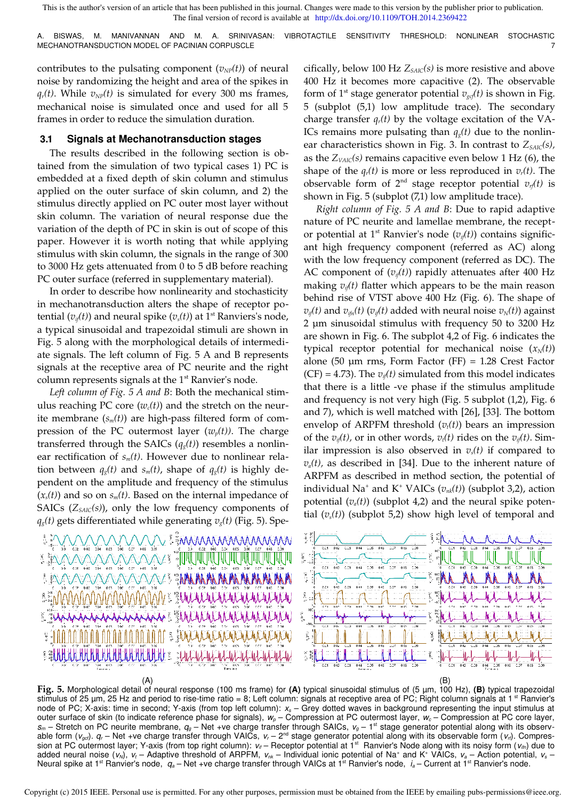A. BISWAS, M. MANIVANNAN AND M. A. SRINIVASAN: VIBROTACTILE SENSITIVITY THRESHOLD: NONLINEAR STOCHASTIC MECHANOTRANSDUCTION MODEL OF PACINIAN CORPUSCLE

contributes to the pulsating component  $(v_{NP}(t))$  of neural noise by randomizing the height and area of the spikes in  $q_r(t)$ . While  $v_{NP}(t)$  is simulated for every 300 ms frames, mechanical noise is simulated once and used for all 5 frames in order to reduce the simulation duration.

## **3.1 Signals at Mechanotransduction stages**

The results described in the following section is obtained from the simulation of two typical cases 1) PC is embedded at a fixed depth of skin column and stimulus applied on the outer surface of skin column, and 2) the stimulus directly applied on PC outer most layer without skin column. The variation of neural response due the variation of the depth of PC in skin is out of scope of this paper. However it is worth noting that while applying stimulus with skin column, the signals in the range of 300 to 3000 Hz gets attenuated from 0 to 5 dB before reaching PC outer surface (referred in supplementary material).

In order to describe how nonlinearity and stochasticity in mechanotransduction alters the shape of receptor potential  $(v_{i}(t))$  and neural spike  $(v_{s}(t))$  at 1<sup>st</sup> Ranviers's node, a typical sinusoidal and trapezoidal stimuli are shown in Fig. 5 along with the morphological details of intermediate signals. The left column of Fig. 5 A and B represents signals at the receptive area of PC neurite and the right column represents signals at the  $1<sup>st</sup>$  Ranvier's node.

*Left column of Fig. 5 A and B*: Both the mechanical stimulus reaching PC core  $(w_c(t))$  and the stretch on the neurite membrane (*sm(t)*) are high-pass filtered form of compression of the PC outermost layer  $(w_p(t))$ . The charge transferred through the SAICs  $(q_g(t))$  resembles a nonlinear rectification of *sm(t)*. However due to nonlinear relation between  $q_g(t)$  and  $s_m(t)$ , shape of  $q_g(t)$  is highly dependent on the amplitude and frequency of the stimulus  $(x<sub>s</sub>(t))$  and so on  $s<sub>m</sub>(t)$ . Based on the internal impedance of SAICs (*ZSAIC(s)*), only the low frequency components of  $q_g(t)$  gets differentiated while generating  $v_g(t)$  (Fig. 5). Spe-



cifically, below 100 Hz *ZSAIC(s)* is more resistive and above 400 Hz it becomes more capacitive (2). The observable form of 1<sup>st</sup> stage generator potential  $v_{\text{gcf}}(t)$  is shown in Fig. 5 (subplot (5,1) low amplitude trace). The secondary charge transfer  $q_r(t)$  by the voltage excitation of the VA-ICs remains more pulsating than  $q_g(t)$  due to the nonlinear characteristics shown in Fig. 3. In contrast to  $Z_{SALC}(s)$ , as the *ZVAIC(s)* remains capacitive even below 1 Hz (6), the shape of the  $q_r(t)$  is more or less reproduced in  $v_r(t)$ . The observable form of  $2^{nd}$  stage receptor potential  $v_r(t)$  is shown in Fig. 5 (subplot (7,1) low amplitude trace).

*Right column of Fig. 5 A and B*: Due to rapid adaptive nature of PC neurite and lamellae membrane, the receptor potential at 1st Ranvier's node (*vif(t)*) contains significant high frequency component (referred as AC) along with the low frequency component (referred as DC). The AC component of  $(v_{i}(t))$  rapidly attenuates after 400 Hz making  $v_i(t)$  flatter which appears to be the main reason behind rise of VTST above 400 Hz (Fig. 6). The shape of  $v_{if}(t)$  and  $v_{ifn}(t)$  ( $v_{if}(t)$  added with neural noise  $v_{N}(t)$ ) against 2 µm sinusoidal stimulus with frequency 50 to 3200 Hz are shown in Fig. 6. The subplot 4,2 of Fig. 6 indicates the typical receptor potential for mechanical noise  $(x_N(t))$ alone (50  $\mu$ m rms, Form Factor (FF) = 1.28 Crest Factor (CF) = 4.73). The  $v_i(t)$  simulated from this model indicates that there is a little -ve phase if the stimulus amplitude and frequency is not very high (Fig. 5 subplot (1,2), Fig. 6 and 7), which is well matched with [26], [33]. The bottom envelop of ARPFM threshold  $(v_t(t))$  bears an impression of the  $v_i(t)$ , or in other words,  $v_i(t)$  rides on the  $v_i(t)$ . Similar impression is also observed in  $v<sub>s</sub>(t)$  if compared to  $v_a(t)$ , as described in [34]. Due to the inherent nature of ARPFM as described in method section, the potential of individual Na<sup>+</sup> and K<sup>+</sup> VAICs (*vnk(t)*) (subplot 3,2), action potential  $(v_a(t))$  (subplot 4,2) and the neural spike potential  $(v_s(t))$  (subplot 5,2) show high level of temporal and



**Fig. 5.** Morphological detail of neural response (100 ms frame) for **(A)** typical sinusoidal stimulus of (5 µm, 100 Hz), **(B)** typical trapezoidal stimulus of 25 µm, 25 Hz and period to rise-time ratio = 8; Left column: signals at receptive area of PC; Right column signals at 1<sup>st</sup> Ranvier's node of PC; X-axis: time in second; Y-axis (from top left column): *xs* – Grey dotted waves in background representing the input stimulus at outer surface of skin (to indicate reference phase for signals), *wp* – Compression at PC outermost layer, *wc* – Compression at PC core layer,  $s_m$  – Stretch on PC neurite membrane,  $q_g$  – Net +ve charge transfer through SAICs,  $v_g$  – 1<sup>st</sup> stage generator potential along with its observable form  $(v_{\text{gcl}})$ .  $q_r$  – Net +ve charge transfer through VAICs,  $v_r - 2^{\text{nd}}$  stage generator potential along with its observable form  $(v_r)$ . Compression at PC outermost layer; Y-axis (from top right column): *vif* – Receptor potential at 1st Ranvier's Node along with its noisy form (*vifn*) due to added neural noise (*v<sub>N</sub>*), *v<sub>t</sub>* – Adaptive threshold of ARPFM, *v<sub>nk</sub>* – Individual ionic potential of Na<sup>+</sup> and K<sup>+</sup> VAICs, *v<sub>a</sub>* – Action potential, *v<sub>s</sub>* – Neural spike at 1<sup>st</sup> Ranvier's node,  $q_a$  – Net +ve charge transfer through VAICs at 1<sup>st</sup> Ranvier's node, *i*<sub>a</sub> – Current at 1<sup>st</sup> Ranvier's node.

Copyright (c) 2015 IEEE. Personal use is permitted. For any other purposes, permission must be obtained from the IEEE by emailing pubs-permissions@ieee.org.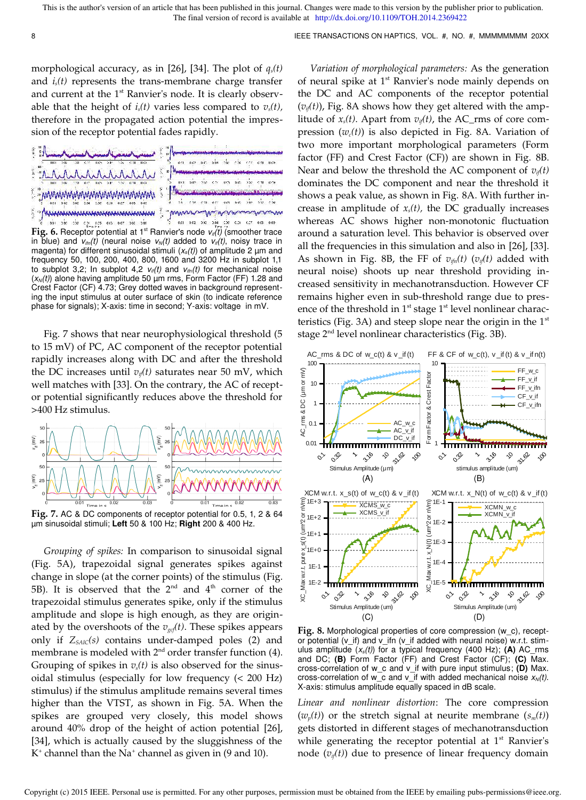morphological accuracy, as in [26], [34]. The plot of  $q_s(t)$ and  $i<sub>s</sub>(t)$  represents the trans-membrane charge transfer and current at the  $1<sup>st</sup>$  Ranvier's node. It is clearly observable that the height of  $i<sub>s</sub>(t)$  varies less compared to  $v<sub>s</sub>(t)$ , therefore in the propagated action potential the impression of the receptor potential fades rapidly.



**Fig. 6.** Receptor potential at 1st Ranvier's node *vif(t)* (smoother trace in blue) and  $v_{\text{lin}}(t)$  (neural noise  $v_N(t)$  added to  $v_{\text{inf}}(t)$ , noisy trace in magenta) for different sinusoidal stimuli (*xs(t)*) of amplitude 2 µm and frequency 50, 100, 200, 400, 800, 1600 and 3200 Hz in subplot 1,1 to subplot 3,2; In subplot 4,2  $v_{ii}(t)$  and  $v_{i(n)}(t)$  for mechanical noise (*xN(t)*) alone having amplitude 50 µm rms, Form Factor (FF) 1.28 and Crest Factor (CF) 4.73; Grey dotted waves in background representing the input stimulus at outer surface of skin (to indicate reference phase for signals); X-axis: time in second; Y-axis: voltage in mV.

Fig. 7 shows that near neurophysiological threshold (5 to 15 mV) of PC, AC component of the receptor potential rapidly increases along with DC and after the threshold the DC increases until  $v_i(t)$  saturates near 50 mV, which well matches with [33]. On the contrary, the AC of receptor potential significantly reduces above the threshold for >400 Hz stimulus.



µm sinusoidal stimuli; **Left** 50 & 100 Hz; **Right** 200 & 400 Hz.

*Grouping of spikes:* In comparison to sinusoidal signal (Fig. 5A), trapezoidal signal generates spikes against change in slope (at the corner points) of the stimulus (Fig. 5B). It is observed that the  $2<sup>nd</sup>$  and  $4<sup>th</sup>$  corner of the trapezoidal stimulus generates spike, only if the stimulus amplitude and slope is high enough, as they are originated by the overshoots of the *vgcf(t)*. These spikes appears only if *ZSAIC(s)* contains under-damped poles (2) and membrane is modeled with  $2<sup>nd</sup>$  order transfer function (4). Grouping of spikes in  $v_s(t)$  is also observed for the sinusoidal stimulus (especially for low frequency (< 200 Hz) stimulus) if the stimulus amplitude remains several times higher than the VTST, as shown in Fig. 5A. When the spikes are grouped very closely, this model shows around 40% drop of the height of action potential [26], [34], which is actually caused by the sluggishness of the  $K^*$  channel than the  $Na^*$  channel as given in (9 and 10).

*Variation of morphological parameters:* As the generation of neural spike at 1<sup>st</sup> Ranvier's node mainly depends on the DC and AC components of the receptor potential  $(v_{i}(t))$ , Fig. 8A shows how they get altered with the amplitude of  $x_s(t)$ . Apart from  $v_{it}(t)$ , the AC\_rms of core compression  $(w_c(t))$  is also depicted in Fig. 8A. Variation of two more important morphological parameters (Form factor (FF) and Crest Factor (CF)) are shown in Fig. 8B. Near and below the threshold the AC component of  $v_{if}(t)$ dominates the DC component and near the threshold it shows a peak value, as shown in Fig. 8A. With further increase in amplitude of *xs(t),* the DC gradually increases whereas AC shows higher non-monotonic fluctuation around a saturation level. This behavior is observed over all the frequencies in this simulation and also in [26], [33]. As shown in Fig. 8B, the FF of  $v_{\text{ifn}}(t)$  ( $v_{\text{if}}(t)$  added with neural noise) shoots up near threshold providing increased sensitivity in mechanotransduction. However CF remains higher even in sub-threshold range due to presence of the threshold in  $1<sup>st</sup>$  stage  $1<sup>st</sup>$  level nonlinear characteristics (Fig. 3A) and steep slope near the origin in the  $1<sup>st</sup>$ stage  $2<sup>nd</sup>$  level nonlinear characteristics (Fig. 3B).



**Fig. 8.** Morphological properties of core compression (w\_c), receptor potential (v\_if) and v\_ifn (v\_if added with neural noise) w.r.t. stimulus amplitude (*xs(t)*) for a typical frequency (400 Hz); **(A)** AC\_rms and DC; **(B)** Form Factor (FF) and Crest Factor (CF); **(C)** Max. cross-correlation of w\_c and v\_if with pure input stimulus; **(D)** Max. cross-correlation of w\_c and v\_if with added mechanical noise  $x_N(t)$ . X-axis: stimulus amplitude equally spaced in dB scale.

*Linear and nonlinear distortion*: The core compression  $(w_p(t))$  or the stretch signal at neurite membrane  $(s_m(t))$ gets distorted in different stages of mechanotransduction while generating the receptor potential at  $1<sup>st</sup>$  Ranvier's node  $(v_{if}(t))$  due to presence of linear frequency domain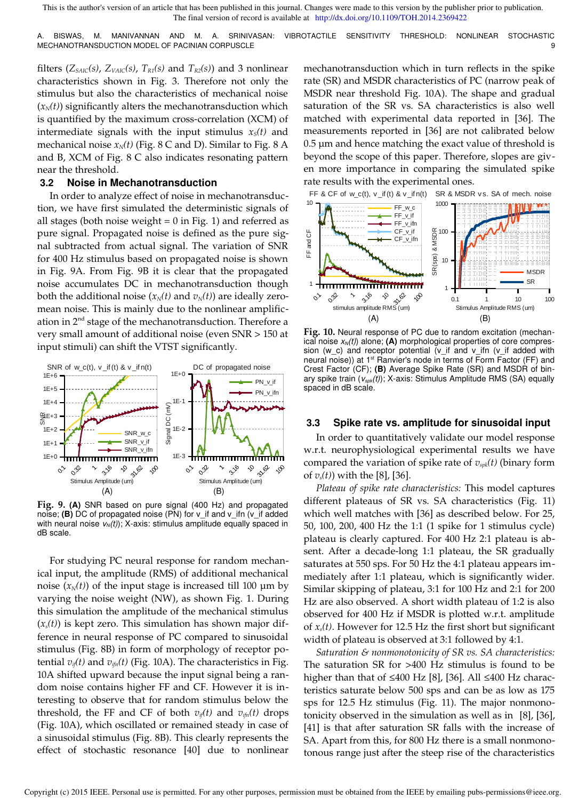A. BISWAS, M. MANIVANNAN AND M. A. SRINIVASAN: VIBROTACTILE SENSITIVITY THRESHOLD: NONLINEAR STOCHASTIC MECHANOTRANSDUCTION MODEL OF PACINIAN CORPUSCLE

filters ( $Z_{SALC}(s)$ ,  $Z_{VAIC}(s)$ ,  $T_{RI}(s)$  and  $T_{R2}(s)$ ) and 3 nonlinear characteristics shown in Fig. 3. Therefore not only the stimulus but also the characteristics of mechanical noise  $(x_N(t))$  significantly alters the mechanotransduction which is quantified by the maximum cross-correlation (XCM) of intermediate signals with the input stimulus  $x<sub>S</sub>(t)$  and mechanical noise  $x_N(t)$  (Fig. 8 C and D). Similar to Fig. 8 A and B, XCM of Fig. 8 C also indicates resonating pattern near the threshold.

#### **3.2 Noise in Mechanotransduction**

In order to analyze effect of noise in mechanotransduction, we have first simulated the deterministic signals of all stages (both noise weight  $= 0$  in Fig. 1) and referred as pure signal. Propagated noise is defined as the pure signal subtracted from actual signal. The variation of SNR for 400 Hz stimulus based on propagated noise is shown in Fig. 9A. From Fig. 9B it is clear that the propagated noise accumulates DC in mechanotransduction though both the additional noise  $(x_N(t)$  and  $v_N(t)$  are ideally zeromean noise. This is mainly due to the nonlinear amplification in  $2<sup>nd</sup>$  stage of the mechanotransduction. Therefore a very small amount of additional noise (even SNR > 150 at input stimuli) can shift the VTST significantly.



**Fig. 9. (A)** SNR based on pure signal (400 Hz) and propagated noise; **(B)** DC of propagated noise (PN) for v\_if and v\_ifn (v\_if added with neural noise  $v<sub>N</sub>(t)$ ; X-axis: stimulus amplitude equally spaced in dB scale.

For studying PC neural response for random mechanical input, the amplitude (RMS) of additional mechanical noise  $(x_N(t))$  of the input stage is increased till 100  $\mu$ m by varying the noise weight (NW), as shown Fig. 1. During this simulation the amplitude of the mechanical stimulus  $(x<sub>s</sub>(t))$  is kept zero. This simulation has shown major difference in neural response of PC compared to sinusoidal stimulus (Fig. 8B) in form of morphology of receptor potential  $v_{i}(t)$  and  $v_{i(n)}(t)$  (Fig. 10A). The characteristics in Fig. 10A shifted upward because the input signal being a random noise contains higher FF and CF. However it is interesting to observe that for random stimulus below the threshold, the FF and CF of both  $v_{i}(t)$  and  $v_{i}(t)$  drops (Fig. 10A), which oscillated or remained steady in case of a sinusoidal stimulus (Fig. 8B). This clearly represents the effect of stochastic resonance [40] due to nonlinear

mechanotransduction which in turn reflects in the spike rate (SR) and MSDR characteristics of PC (narrow peak of MSDR near threshold Fig. 10A). The shape and gradual saturation of the SR vs. SA characteristics is also well matched with experimental data reported in [36]. The measurements reported in [36] are not calibrated below 0.5 µm and hence matching the exact value of threshold is beyond the scope of this paper. Therefore, slopes are given more importance in comparing the simulated spike rate results with the experimental ones.



**Fig. 10.** Neural response of PC due to random excitation (mechanical noise *xN(t)*) alone; **(A)** morphological properties of core compression ( $w_c$ ) and receptor potential ( $v_i$  and  $v_i$  ifn ( $v_i$  added with neural noise)) at 1<sup>st</sup> Ranvier's node in terms of Form Factor (FF) and Crest Factor (CF); **(B)** Average Spike Rate (SR) and MSDR of binary spike train (*vspk(t)*); X-axis: Stimulus Amplitude RMS (SA) equally spaced in dB scale.

### **3.3 Spike rate vs. amplitude for sinusoidal input**

In order to quantitatively validate our model response w.r.t. neurophysiological experimental results we have compared the variation of spike rate of *vspk(t)* (binary form of *vs(t)*) with the [8], [36].

*Plateau of spike rate characteristics:* This model captures different plateaus of SR vs. SA characteristics (Fig. 11) which well matches with [36] as described below. For 25, 50, 100, 200, 400 Hz the 1:1 (1 spike for 1 stimulus cycle) plateau is clearly captured. For 400 Hz 2:1 plateau is absent. After a decade-long 1:1 plateau, the SR gradually saturates at 550 sps. For 50 Hz the 4:1 plateau appears immediately after 1:1 plateau, which is significantly wider. Similar skipping of plateau, 3:1 for 100 Hz and 2:1 for 200 Hz are also observed. A short width plateau of 1:2 is also observed for 400 Hz if MSDR is plotted w.r.t. amplitude of *xs(t)*. However for 12.5 Hz the first short but significant width of plateau is observed at 3:1 followed by 4:1.

*Saturation & nonmonotonicity of SR vs. SA characteristics:* The saturation SR for >400 Hz stimulus is found to be higher than that of ≤400 Hz [8], [36]. All ≤400 Hz characteristics saturate below 500 sps and can be as low as 175 sps for 12.5 Hz stimulus (Fig. 11). The major nonmonotonicity observed in the simulation as well as in [8], [36], [41] is that after saturation SR falls with the increase of SA. Apart from this, for 800 Hz there is a small nonmonotonous range just after the steep rise of the characteristics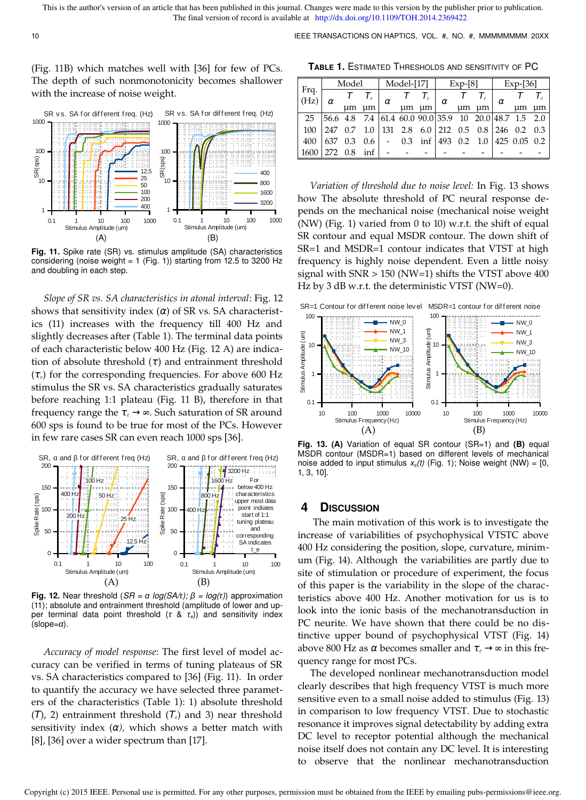10 10 **IEEE TRANSACTIONS ON HAPTICS, VOL. #, NO. #, MMMMMMMM 20XX** 

(Fig. 11B) which matches well with [36] for few of PCs. The depth of such nonmonotonicity becomes shallower with the increase of noise weight.



**Fig. 11.** Spike rate (SR) vs. stimulus amplitude (SA) characteristics considering (noise weight = 1 (Fig. 1)) starting from 12.5 to 3200 Hz and doubling in each step.

*Slope of SR vs. SA characteristics in atonal interval*: Fig. 12 shows that sensitivity index  $(\alpha)$  of SR vs. SA characteristics (11) increases with the frequency till 400 Hz and slightly decreases after (Table 1). The terminal data points of each characteristic below 400 Hz (Fig. 12 A) are indication of absolute threshold  $(\tau)$  and entrainment threshold (τ*e*) for the corresponding frequencies. For above 600 Hz stimulus the SR vs. SA characteristics gradually saturates before reaching 1:1 plateau (Fig. 11 B), therefore in that frequency range the τ*<sup>e</sup>* → *∞*. Such saturation of SR around 600 sps is found to be true for most of the PCs. However in few rare cases SR can even reach 1000 sps [36].



**Fig. 12.** Near threshold (*SR =*  $\alpha$  *log(SA/t);*  $\beta$  = *log(t)*) approximation (11); absolute and entrainment threshold (amplitude of lower and upper terminal data point threshold (*τ* & *τe*)) and sensitivity index (slope=*α*).

*Accuracy of model response*: The first level of model accuracy can be verified in terms of tuning plateaus of SR vs. SA characteristics compared to [36] (Fig. 11). In order to quantify the accuracy we have selected three parameters of the characteristics (Table 1): 1) absolute threshold (Τ), 2) entrainment threshold (Τ*e*) and 3) near threshold sensitivity index  $(\alpha)$ , which shows a better match with [8], [36] over a wider spectrum than [17].

**TABLE 1.** ESTIMATED THRESHOLDS AND SENSITIVITY OF PC

| Frq.<br>(Hz) | Model                                                                      |    |       | Model-[17] |    |    | $Exp-8$ ] |    |    | $Exp-$ [36] |                                      |    |
|--------------|----------------------------------------------------------------------------|----|-------|------------|----|----|-----------|----|----|-------------|--------------------------------------|----|
|              | ΩY                                                                         |    |       | α          |    |    | α         |    |    | α           |                                      |    |
|              |                                                                            | um | um    |            | um | um |           | um | um |             | um                                   | um |
| 25           | $ 56.6 \t4.8 \t7.4 \t61.4 \t60.0 \t90.0 35.9 \t10 \t20.0 48.7 \t1.5 \t2.0$ |    |       |            |    |    |           |    |    |             |                                      |    |
| 100          | 247 0.7                                                                    |    | - 1.0 |            |    |    |           |    |    |             | 131 2.8 6.0 212 0.5 0.8 246 0.2 0.3  |    |
| 400          | 637 0.3                                                                    |    | 0.6   |            |    |    |           |    |    |             | $-$ 0.3 inf 493 0.2 1.0 425 0.05 0.2 |    |
| 1600         | 272 0.8                                                                    |    | inf   |            |    |    |           |    |    |             |                                      |    |

*Variation of threshold due to noise level:* In Fig. 13 shows how The absolute threshold of PC neural response depends on the mechanical noise (mechanical noise weight (NW) (Fig. 1) varied from 0 to 10) w.r.t. the shift of equal SR contour and equal MSDR contour. The down shift of SR=1 and MSDR=1 contour indicates that VTST at high frequency is highly noise dependent. Even a little noisy signal with  $SNR > 150$  (NW=1) shifts the VTST above 400 Hz by 3 dB w.r.t. the deterministic VTST (NW=0).



**Fig. 13. (A)** Variation of equal SR contour (SR=1) and **(B)** equal MSDR contour (MSDR=1) based on different levels of mechanical noise added to input stimulus *xs(t)* (Fig. 1); Noise weight (NW) = [0, 1, 3, 10].

# **4 DISCUSSION**

 The main motivation of this work is to investigate the increase of variabilities of psychophysical VTSTC above 400 Hz considering the position, slope, curvature, minimum (Fig. 14). Although the variabilities are partly due to site of stimulation or procedure of experiment, the focus of this paper is the variability in the slope of the characteristics above 400 Hz. Another motivation for us is to look into the ionic basis of the mechanotransduction in PC neurite. We have shown that there could be no distinctive upper bound of psychophysical VTST (Fig. 14) above 800 Hz as α becomes smaller and τ<sub>e</sub> → ∞ in this frequency range for most PCs.

The developed nonlinear mechanotransduction model clearly describes that high frequency VTST is much more sensitive even to a small noise added to stimulus (Fig. 13) in comparison to low frequency VTST. Due to stochastic resonance it improves signal detectability by adding extra DC level to receptor potential although the mechanical noise itself does not contain any DC level. It is interesting to observe that the nonlinear mechanotransduction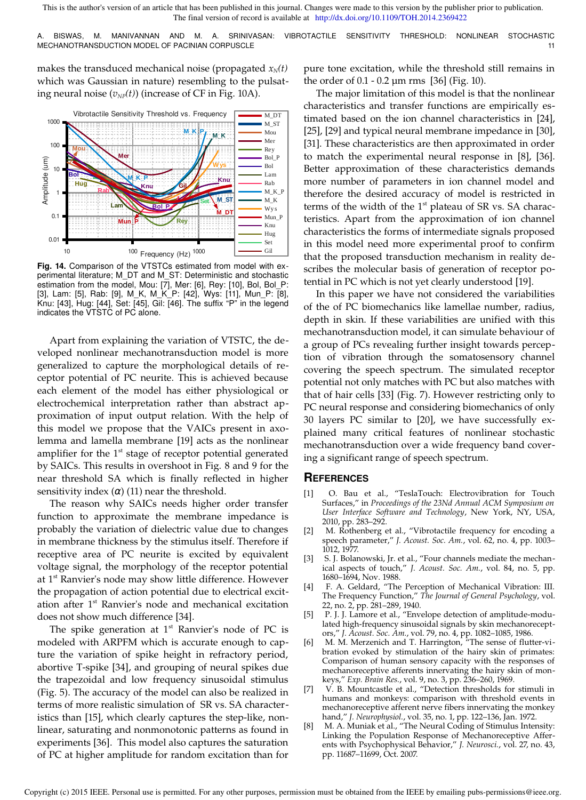A. BISWAS, M. MANIVANNAN AND M. A. SRINIVASAN: VIBROTACTILE SENSITIVITY THRESHOLD: NONLINEAR STOCHASTIC MECHANOTRANSDUCTION MODEL OF PACINIAN CORPUSCLE **11** and the control of the control of the control of the control of the control of the control of the control of the control of the control of the control of the control of

makes the transduced mechanical noise (propagated  $x_N(t)$ ) which was Gaussian in nature) resembling to the pulsating neural noise  $(v_{NP}(t))$  (increase of CF in Fig. 10A).



**Fig. 14.** Comparison of the VTSTCs estimated from model with experimental literature; M\_DT and M\_ST: Deterministic and stochastic estimation from the model, Mou: [7], Mer: [6], Rey: [10], Bol, Bol\_P: [3], Lam: [5], Rab: [9], M\_K, M\_K\_P: [42], Wys: [11], Mun\_P: [8], Knu: [43], Hug: [44], Set: [45], Gil: [46]. The suffix "P" in the legend indicates the VTSTC of PC alone.

Apart from explaining the variation of VTSTC, the developed nonlinear mechanotransduction model is more generalized to capture the morphological details of receptor potential of PC neurite. This is achieved because each element of the model has either physiological or electrochemical interpretation rather than abstract approximation of input output relation. With the help of this model we propose that the VAICs present in axolemma and lamella membrane [19] acts as the nonlinear amplifier for the  $1<sup>st</sup>$  stage of receptor potential generated by SAICs. This results in overshoot in Fig. 8 and 9 for the near threshold SA which is finally reflected in higher sensitivity index  $(\alpha)$  (11) near the threshold.

The reason why SAICs needs higher order transfer function to approximate the membrane impedance is probably the variation of dielectric value due to changes in membrane thickness by the stimulus itself. Therefore if receptive area of PC neurite is excited by equivalent voltage signal, the morphology of the receptor potential at 1<sup>st</sup> Ranvier's node may show little difference. However the propagation of action potential due to electrical excitation after 1<sup>st</sup> Ranvier's node and mechanical excitation does not show much difference [34].

The spike generation at  $1<sup>st</sup>$  Ranvier's node of PC is modeled with ARPFM which is accurate enough to capture the variation of spike height in refractory period, abortive T-spike [34], and grouping of neural spikes due the trapezoidal and low frequency sinusoidal stimulus (Fig. 5). The accuracy of the model can also be realized in terms of more realistic simulation of SR vs. SA characteristics than [15], which clearly captures the step-like, nonlinear, saturating and nonmonotonic patterns as found in experiments [36]. This model also captures the saturation of PC at higher amplitude for random excitation than for pure tone excitation, while the threshold still remains in the order of 0.1 - 0.2 µm rms [36] (Fig. 10).

The major limitation of this model is that the nonlinear characteristics and transfer functions are empirically estimated based on the ion channel characteristics in [24], [25], [29] and typical neural membrane impedance in [30], [31]. These characteristics are then approximated in order to match the experimental neural response in [8], [36]. Better approximation of these characteristics demands more number of parameters in ion channel model and therefore the desired accuracy of model is restricted in terms of the width of the  $1<sup>st</sup>$  plateau of SR vs. SA characteristics. Apart from the approximation of ion channel characteristics the forms of intermediate signals proposed in this model need more experimental proof to confirm that the proposed transduction mechanism in reality describes the molecular basis of generation of receptor potential in PC which is not yet clearly understood [19].

In this paper we have not considered the variabilities of the of PC biomechanics like lamellae number, radius, depth in skin. If these variabilities are unified with this mechanotransduction model, it can simulate behaviour of a group of PCs revealing further insight towards perception of vibration through the somatosensory channel covering the speech spectrum. The simulated receptor potential not only matches with PC but also matches with that of hair cells [33] (Fig. 7). However restricting only to PC neural response and considering biomechanics of only 30 layers PC similar to [20], we have successfully explained many critical features of nonlinear stochastic mechanotransduction over a wide frequency band covering a significant range of speech spectrum.

## **REFERENCES**

- [1] O. Bau et al., "TeslaTouch: Electrovibration for Touch Surfaces," in *Proceedings of the 23Nd Annual ACM Symposium on User Interface Software and Technology*, New York, NY, USA, 2010, pp. 283–292.
- [2] M. Rothenberg et al., "Vibrotactile frequency for encoding a speech parameter," *J. Acoust. Soc. Am.*, vol. 62, no. 4, pp. 1003– 1012, 1977.
- [3] S. J. Bolanowski, Jr. et al., "Four channels mediate the mechanical aspects of touch," *J. Acoust. Soc. Am.*, vol. 84, no. 5, pp. 1680–1694, Nov. 1988.
- [4] F. A. Geldard, "The Perception of Mechanical Vibration: III. The Frequency Function," *The Journal of General Psychology*, vol. 22, no. 2, pp. 281–289, 1940.
- [5] P. J. J. Lamore et al., "Envelope detection of amplitude-modulated high-frequency sinusoidal signals by skin mechanoreceptors," *J. Acoust. Soc. Am.*, vol. 79, no. 4, pp. 1082–1085, 1986.
- [6] M. M. Merzenich and T. Harrington, "The sense of flutter-vibration evoked by stimulation of the hairy skin of primates: Comparison of human sensory capacity with the responses of mechanoreceptive afferents innervating the hairy skin of monkeys," *Exp. Brain Res.*, vol. 9, no. 3, pp. 236–260, 1969.
- [7] V. B. Mountcastle et al., "Detection thresholds for stimuli in humans and monkeys: comparison with threshold events in mechanoreceptive afferent nerve fibers innervating the monkey hand," *J. Neurophysiol.*, vol. 35, no. 1, pp. 122–136, Jan. 1972.
- [8] M. A. Muniak et al., "The Neural Coding of Stimulus Intensity: Linking the Population Response of Mechanoreceptive Afferents with Psychophysical Behavior," *J. Neurosci.*, vol. 27, no. 43, pp. 11687–11699, Oct. 2007.